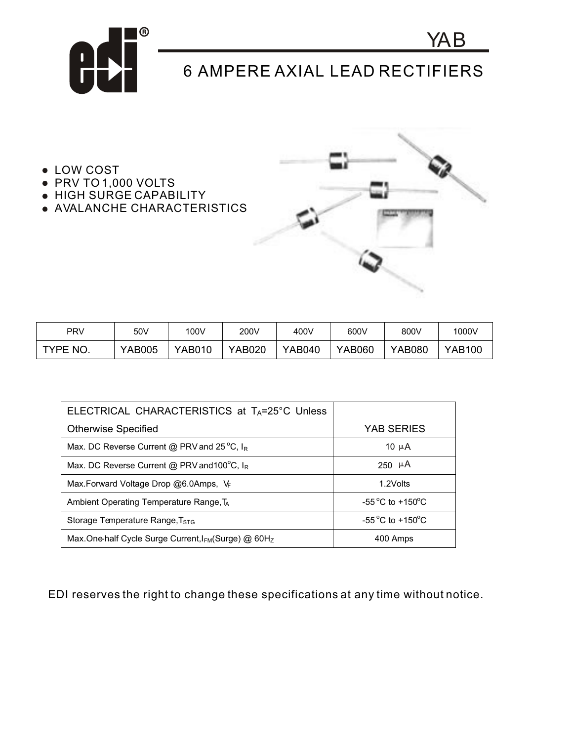

- LOW COST
- PRV TO 1,000 VOLTS
- HIGH SURGE CAPABILITY
- AVALANCHE CHARACTERISTICS  $\bullet$



YAB

| <b>PRV</b> | 50V           | 100V          | 200V   | 400V          | 600V   | 800V          | 1000V         |
|------------|---------------|---------------|--------|---------------|--------|---------------|---------------|
| TYPE NO.   | <b>YAB005</b> | <b>YAB010</b> | YAB020 | <b>YAB040</b> | YAB060 | <b>YAB080</b> | <b>YAB100</b> |

| ELECTRICAL CHARACTERISTICS at $T_A = 25^\circ C$ Unless            |                                       |  |
|--------------------------------------------------------------------|---------------------------------------|--|
| <b>Otherwise Specified</b>                                         | YAB SERIES                            |  |
| Max. DC Reverse Current @ PRV and 25 °C, IR                        | 10 $\mu$ A                            |  |
| Max. DC Reverse Current @ PRV and 100 $^{\circ}$ C, I <sub>R</sub> | 250 $\mu$ A                           |  |
| Max. Forward Voltage Drop $@6.0$ Amps, $V_F$                       | 1.2Volts                              |  |
| Ambient Operating Temperature Range, T <sub>A</sub>                | $-55\,^{\circ}$ C to $+150^{\circ}$ C |  |
| Storage Temperature Range, T <sub>STG</sub>                        | $-55\,^{\circ}$ C to $+150^{\circ}$ C |  |
| Max.One-half Cycle Surge Current, IFM(Surge) @ 60Hz                | 400 Amps                              |  |

EDI reserves the right to change these specifications at any time without notice.